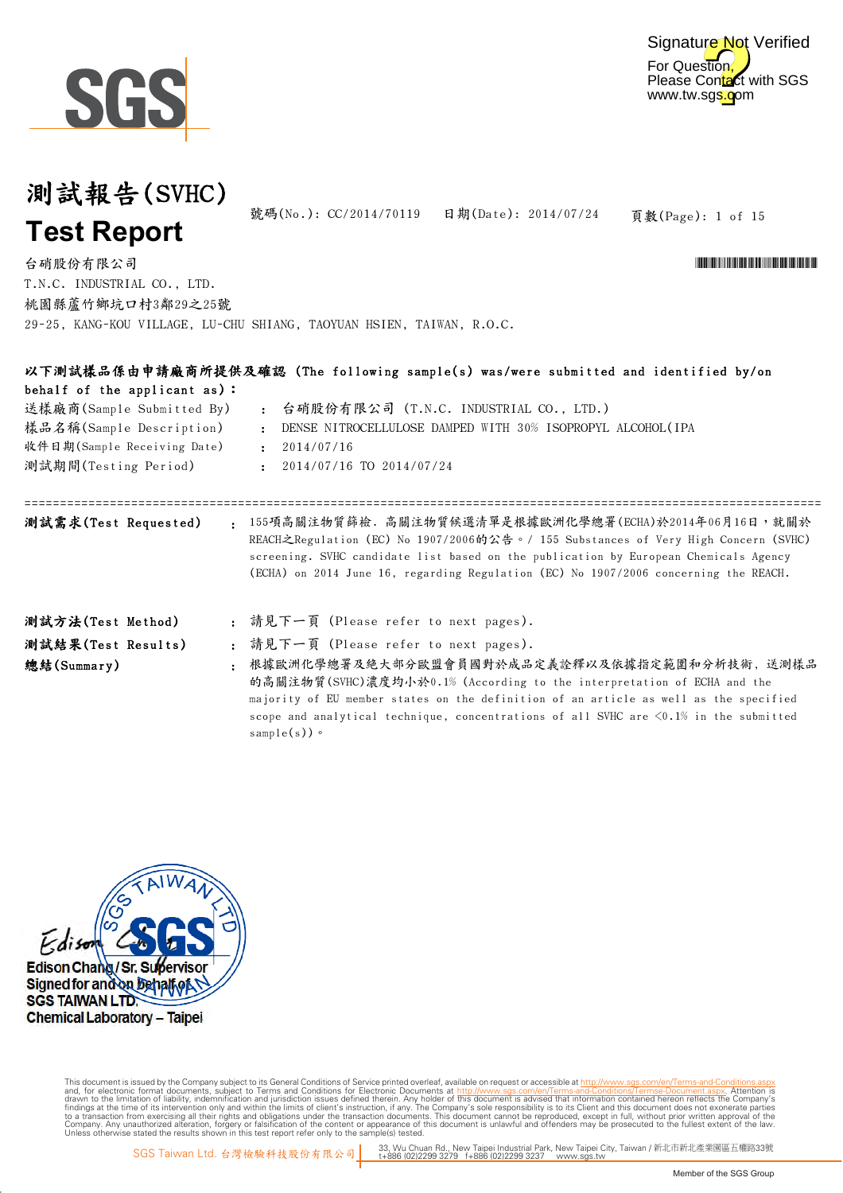



頁數(Page): 1 of 15 號碼(No.): CC/2014/70119 日期(Date): 2014/07/24

\*CONFIDENTIAL AND THE CONFIDENTIAL ACCOUNT OF THE CONFIDENTIAL ACCOUNT AND THE CONFIDENTIAL ACCOUNT AND THE CO

台硝股份有限公司 29-25, KANG-KOU VILLAGE, LU-CHU SHIANG, TAOYUAN HSIEN, TAIWAN, R.O.C. T.N.C. INDUSTRIAL CO., LTD. 桃園縣蘆竹鄉坑口村3鄰29之25號

|                      |                                 |           | 以下測試樣品係由申請廠商所提供及確認(The following sample(s) was/were submitted and identified by/on                                                                                                                                                                                                                                                  |
|----------------------|---------------------------------|-----------|-------------------------------------------------------------------------------------------------------------------------------------------------------------------------------------------------------------------------------------------------------------------------------------------------------------------------------------|
|                      | behalf of the applicant $as$ ): |           |                                                                                                                                                                                                                                                                                                                                     |
|                      | 送樣廠商(Sample Submitted By)       |           | : 台硝股份有限公司 (T.N.C. INDUSTRIAL CO., LTD.)                                                                                                                                                                                                                                                                                            |
|                      | 樣品名稱(Sample Description)        |           | DENSE NITROCELLULOSE DAMPED WITH 30% ISOPROPYL ALCOHOL(IPA                                                                                                                                                                                                                                                                          |
|                      | 收件日期(Sample Receiving Date)     |           | 2014/07/16<br>$\mathbf{r}$ .                                                                                                                                                                                                                                                                                                        |
| 測試期間(Testing Period) |                                 |           | 2014/07/16 TO 2014/07/24                                                                                                                                                                                                                                                                                                            |
| 測試需求(Test Requested) |                                 |           | : 155項高關注物質篩檢. 高關注物質候選清單是根據歐洲化學總署(ECHA)於2014年06月16日,就關於<br>REACH之Regulation (EC) No 1907/2006的公告。/ 155 Substances of Very High Concern (SVHC)<br>screening. SVHC candidate list based on the publication by European Chemicals Agency<br>(ECHA) on 2014 June 16, regarding Regulation (EC) No 1907/2006 concerning the REACH.       |
| 測試方法(Test Method)    |                                 |           | : 請見下一頁 (Please refer to next pages).                                                                                                                                                                                                                                                                                               |
| 測試結果(Test Results)   |                                 |           | : 請見下一頁 (Please refer to next pages).                                                                                                                                                                                                                                                                                               |
| 總結(Summary)          |                                 | $\bullet$ | 根據歐洲化學總署及絶大部分歐盟會員國對於成品定義詮釋以及依據指定範圍和分析技術,送測樣品<br>的高關注物質(SVHC)濃度均小於0.1% (According to the interpretation of ECHA and the<br>majority of EU member states on the definition of an article as well as the specified<br>scope and analytical technique, concentrations of all SVHC are $\leq 0.1\%$ in the submitted<br>sample $(s)$ ) 。 |



Digitally signed by www.wmholetech.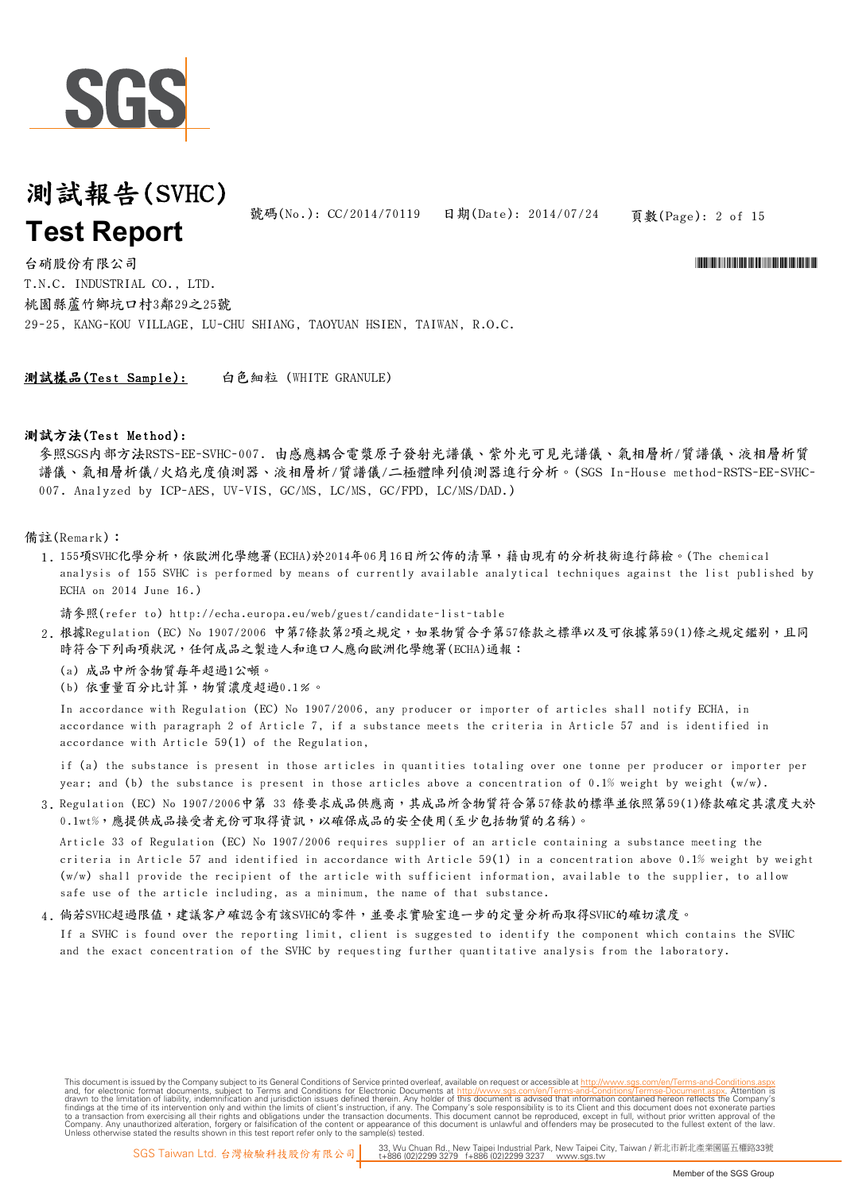

號碼(No.): CC/2014/70119 日期(Date): 2014/07/24

頁數(Page): 2 of 15

\*CONFIDENTIAL AND THE CONFIDENTIAL ACCOUNT OF THE CONFIDENTIAL ACCOUNT AND THE CONFIDENTIAL ACCOUNT AND THE CO

台硝股份有限公司 29-25, KANG-KOU VILLAGE, LU-CHU SHIANG, TAOYUAN HSIEN, TAIWAN, R.O.C. T.N.C. INDUSTRIAL CO., LTD. 桃園縣蘆竹鄉坑口村3鄰29之25號

測試樣品(Test Sample): 白色細粒 (WHITE GRANULE)

#### 測試方法(Test Method):

參照SGS內部方法RSTS-EE-SVHC-007. 由感應耦合電漿原子發射光譜儀、紫外光可見光譜儀、氣相層析/質譜儀、液相層析質 譜儀、氣相層析儀/火焰光度偵測器、液相層析/質譜儀/二極體陣列偵測器進行分析。(SGS In-House method-RSTS-EE-SVHC-007. Analyzed by ICP-AES, UV-VIS, GC/MS, LC/MS, GC/FPD, LC/MS/DAD.)

#### 備註(Remark):

1. 155項SVHC化學分析,依歐洲化學總署(ECHA)於2014年06月16日所公佈的清單,藉由現有的分析技術進行篩檢。(The chemical analysis of 155 SVHC is performed by means of currently available analytical techniques against the list published by ECHA on 2014 June 16.)

請參照(refer to) http://echa.europa.eu/web/guest/candidate-list-table

- 2.根據Regulation(EC)No 1907/2006 中第7條款第2項之規定,如果物質合乎第57條款之標準以及可依據第59(1)條之規定鑑别,且同 時符合下列兩項狀況,任何成品之製造人和進口人應向歐洲化學總署(ECHA)通報:
	- (a) 成品中所含物質每年超過1公噸。
	- (b) 依重量百分比計算,物質濃度超過0.1﹪。

In accordance with Regulation (EC) No 1907/2006, any producer or importer of articles shall notify ECHA, in accordance with paragraph 2 of Article 7, if a substance meets the criteria in Article 57 and is identified in accordance with Article 59(1) of the Regulation,

if (a) the substance is present in those articles in quantities totaling over one tonne per producer or importer per year; and (b) the substance is present in those articles above a concentration of 0.1% weight by weight (w/w).

3. Regulation (EC) No 1907/2006中第 33 條要求成品供應商,其成品所含物質符合第57條款的標準並依照第59(1)條款確定其濃度大於 0.1wt%,應提供成品接受者充份可取得資訊,以確保成品的安全使用(至少包括物質的名稱)。

Article 33 of Regulation (EC) No 1907/2006 requires supplier of an article containing a substance meeting the criteria in Article 57 and identified in accordance with Article 59(1) in a concentration above 0.1% weight by weight (w/w) shall provide the recipient of the article with sufficient information, available to the supplier, to allow safe use of the article including, as a minimum, the name of that substance.

#### 4. 倘若SVHC超過限值,建議客户確認含有該SVHC的零件,並要求實驗室進一步的定量分析而取得SVHC的確切濃度。

If a SVHC is found over the reporting limit, client is suggested to identify the component which contains the SVHC and the exact concentration of the SVHC by requesting further quantitative analysis from the laboratory.

This document is issued by the Company subject to its General Conditions of Service printed overleaf, available on request or accessible at http://www.sqs.com/en/Terms-and-Co and, for electronic format documents, subject to Terms and Conditions for Electronic Documents at http://www.sgs.com/en/Terms-and-Conditions/Terms-Document aspx. Attention is drawn to the limitation of lability, indemnific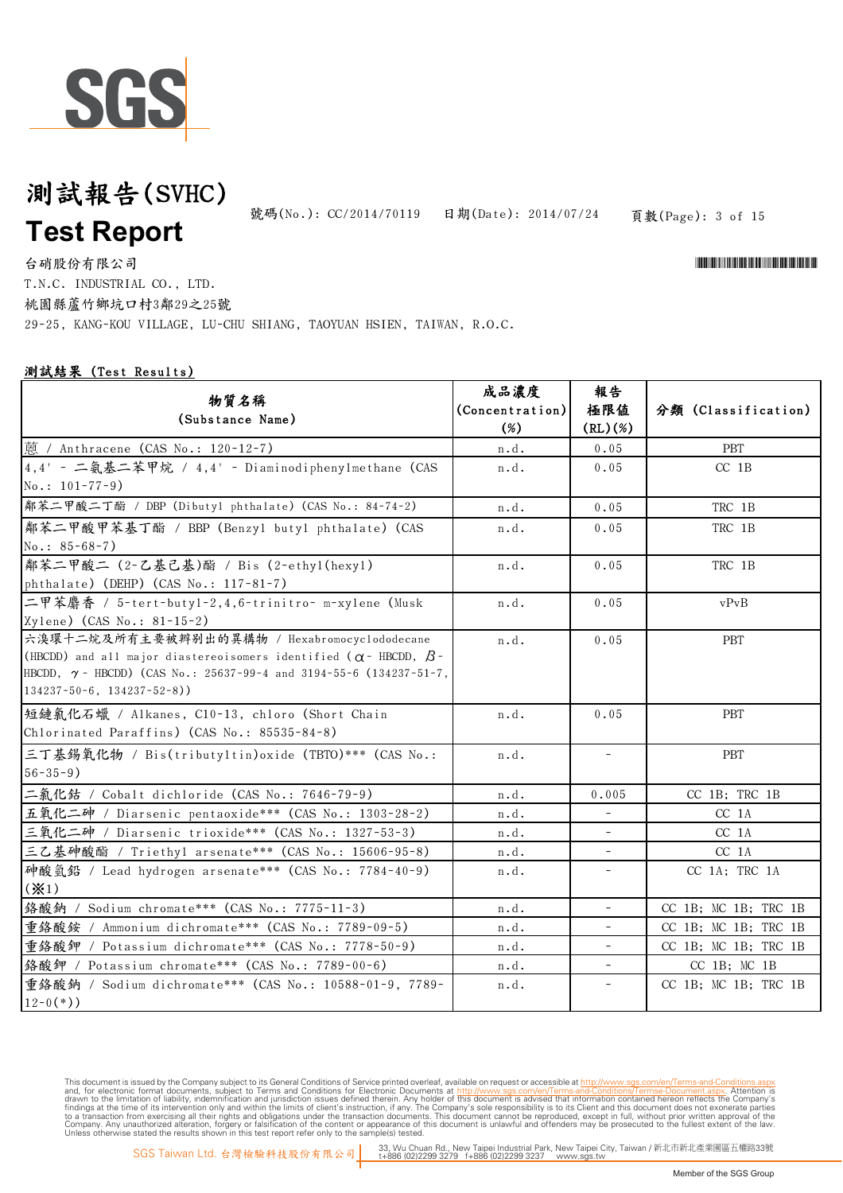

頁數(Page): 3 of 15 號碼(No.): CC/2014/70119 日期(Date): 2014/07/24

\*CONFIDENTIAL AND THE CONFIDENTIAL ACCOUNT OF THE CONFIDENTIAL ACCOUNT AND THE CONFIDENTIAL ACCOUNT AND THE CO

台硝股份有限公司 29-25, KANG-KOU VILLAGE, LU-CHU SHIANG, TAOYUAN HSIEN, TAIWAN, R.O.C. T.N.C. INDUSTRIAL CO., LTD. 桃園縣蘆竹鄉坑口村3鄰29之25號

#### 測試結果 (Test Results)

| 物質名稱<br>(Substance Name)                                                                                                                                                                                                                                | 成品濃度<br>(Concentration)<br>$(\%)$ | 報告<br>極限値<br>(RL)(%)     | 分類 (Classification)  |
|---------------------------------------------------------------------------------------------------------------------------------------------------------------------------------------------------------------------------------------------------------|-----------------------------------|--------------------------|----------------------|
| 蒽 / Anthracene (CAS No.: 120-12-7)                                                                                                                                                                                                                      | n.d.                              | 0.05                     | <b>PBT</b>           |
| 4,4' - 二氨基二苯甲烷 / 4,4' - Diaminodiphenylmethane (CAS<br>$No.: 101-77-9)$                                                                                                                                                                                 | n.d.                              | 0.05                     | $CC$ 1B              |
| 鄰苯二甲酸二丁酯 / DBP (Dibutyl phthalate) (CAS No.: 84-74-2)                                                                                                                                                                                                   | n.d.                              | 0.05                     | TRC 1B               |
| 鄰苯二甲酸甲苯基丁酯 / BBP (Benzyl butyl phthalate) (CAS<br>$No.: 85-68-7)$                                                                                                                                                                                       | n.d.                              | 0.05                     | TRC 1B               |
| 鄰苯二甲酸二 (2-乙基己基)酯 / Bis (2-ethyl(hexyl)<br>phthalate) (DEHP) (CAS No.: 117-81-7)                                                                                                                                                                         | n.d.                              | 0.05                     | TRC 1B               |
| 二甲苯麝香 / 5-tert-butyl-2,4,6-trinitro- m-xylene (Musk<br>Xylene) (CAS No.: 81-15-2)                                                                                                                                                                       | n.d.                              | 0.05                     | vPvB                 |
| 六溴環十二烷及所有主要被辨别出的異構物 / Hexabromocyclododecane<br>(HBCDD) and all major diastereoisomers identified ( $\alpha$ - HBCDD, $\beta$ -<br>HBCDD, $\gamma$ - HBCDD) (CAS No.: 25637-99-4 and 3194-55-6 (134237-51-7,<br>$134237 - 50 - 6$ , $134237 - 52 - 8$ ) | n.d.                              | 0.05                     | <b>PBT</b>           |
| 短鏈氯化石蠟 / Alkanes, C10-13, chloro (Short Chain<br>Chlorinated Paraffins) (CAS No.: 85535-84-8)                                                                                                                                                           | n.d.                              | 0.05                     | <b>PBT</b>           |
| 三丁基錫氧化物 / Bis(tributyltin)oxide (TBTO)*** (CAS No.:<br>$56 - 35 - 9$ )                                                                                                                                                                                  | n.d.                              | $\overline{\phantom{a}}$ | <b>PBT</b>           |
| 二氯化鈷 / Cobalt dichloride (CAS No.: 7646–79–9)                                                                                                                                                                                                           | n.d.                              | 0.005                    | CC 1B; TRC 1B        |
| 五氧化二砷 / Diarsenic pentaoxide*** (CAS No.: 1303-28-2)                                                                                                                                                                                                    | n.d.                              | $\bar{ }$                | CC 1A                |
| 三氧化二砷 / Diarsenic trioxide*** (CAS No.: 1327-53-3)                                                                                                                                                                                                      | n.d.                              |                          | CC 1A                |
| 三乙基砷酸酯 / Triethyl arsenate *** (CAS No.: 15606-95-8)                                                                                                                                                                                                    | n.d.                              |                          | CC <sub>1A</sub>     |
| 砷酸氢铅 / Lead hydrogen arsenate*** (CAS No.: 7784-40-9)<br>$(* 1)$                                                                                                                                                                                        | n.d.                              | $\overline{\phantom{a}}$ | CC 1A; TRC 1A        |
| 络酸鈉 / Sodium chromate *** (CAS No.: 7775-11-3)                                                                                                                                                                                                          | n.d.                              | $\overline{\phantom{a}}$ | CC 1B; MC 1B; TRC 1B |
| 重络酸銨 / Ammonium dichromate*** (CAS No.: 7789-09-5)                                                                                                                                                                                                      | n.d.                              |                          | CC 1B; MC 1B; TRC 1B |
| 重鉻酸鉀 / Potassium dichromate*** (CAS No.: 7778-50-9)                                                                                                                                                                                                     | n.d.                              |                          | CC 1B; MC 1B; TRC 1B |
| 络酸鉀 / Potassium chromate*** (CAS No.: 7789-00-6)                                                                                                                                                                                                        | n.d.                              |                          | $CC$ 1B; $MC$ 1B     |
| 重鉻酸鈉 / Sodium dichromate *** (CAS No.: 10588-01-9, 7789-<br>$12-0(*)$ )                                                                                                                                                                                 | n.d.                              | $\bar{ }$                | CC 1B; MC 1B; TRC 1B |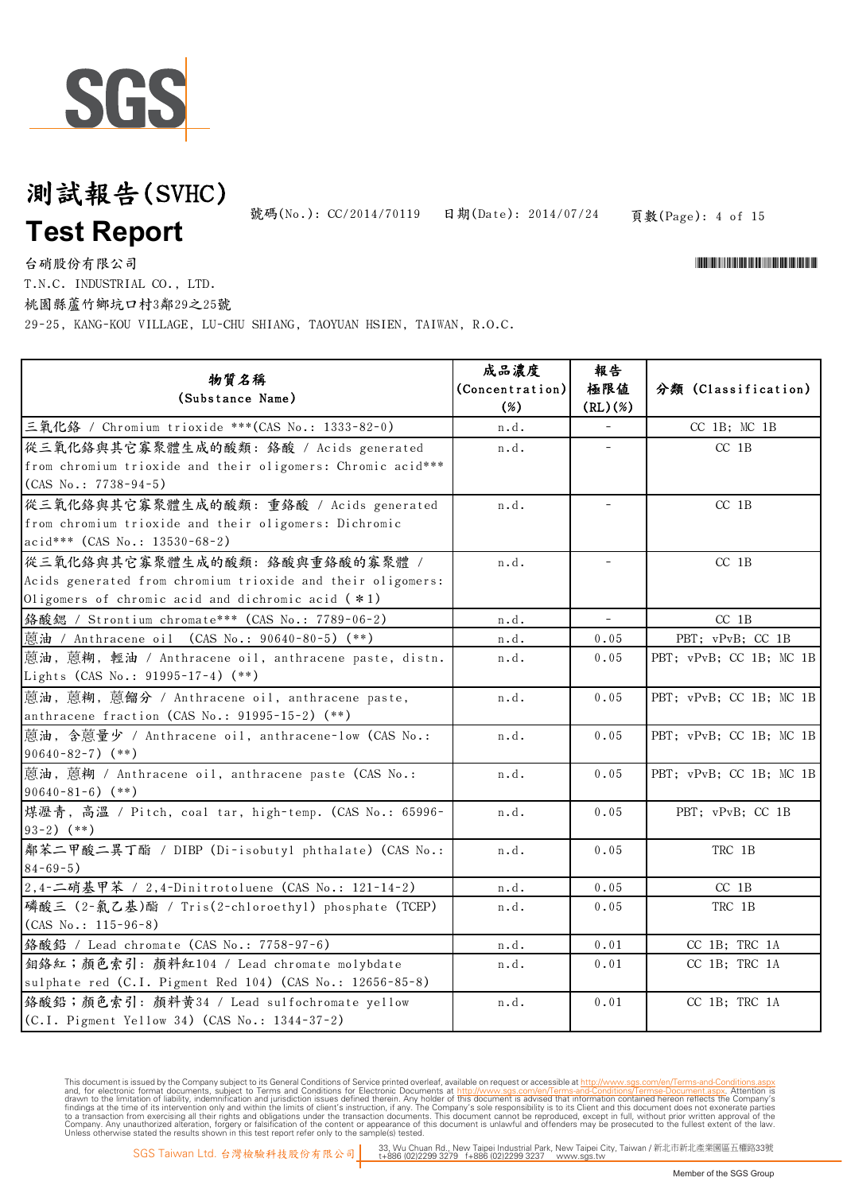

頁數(Page): 4 of 15 號碼(No.): CC/2014/70119 日期(Date): 2014/07/24

\*CONFIDENTIAL AND THE CONFIDENTIAL ACCOUNT OF THE CONFIDENTIAL ACCOUNT AND THE CONFIDENTIAL ACCOUNT AND THE CO

台硝股份有限公司 T.N.C. INDUSTRIAL CO., LTD.

桃園縣蘆竹鄉坑口村3鄰29之25號

29-25, KANG-KOU VILLAGE, LU-CHU SHIANG, TAOYUAN HSIEN, TAIWAN, R.O.C.

| 物質名稱<br>(Substance Name)                                     | 成品濃度<br>(Concentration)<br>(%) | 報告<br>極限値<br>(RL)(%) | 分類 (Classification)     |
|--------------------------------------------------------------|--------------------------------|----------------------|-------------------------|
| 三氧化鉻 / Chromium trioxide ***(CAS No.: 1333-82-0)             | n.d.                           |                      | CC 1B; MC 1B            |
| 從三氧化鉻與其它寡聚體生成的酸類: 鉻酸 / Acids generated                       | n.d.                           |                      | $CC$ 1B                 |
| from chromium trioxide and their oligomers: Chromic acid *** |                                |                      |                         |
| $(CAS No.: 7738-94-5)$                                       |                                |                      |                         |
| 從三氧化鉻與其它寡聚體生成的酸類: 重鉻酸 / Acids generated                      | n.d.                           |                      | $CC$ 1B                 |
| from chromium trioxide and their oligomers: Dichromic        |                                |                      |                         |
| acid*** (CAS No.: 13530-68-2)                                |                                |                      |                         |
| 從三氧化絡與其它寡聚體生成的酸類: 絡酸與重絡酸的寡聚體 /                               | n.d.                           |                      | $CC$ 1B                 |
| Acids generated from chromium trioxide and their oligomers:  |                                |                      |                         |
| Oligomers of chromic acid and dichromic acid $(*1)$          |                                |                      |                         |
| 络酸鳃 / Strontium chromate *** (CAS No.: 7789-06-2)            | n.d.                           | $\equiv$             | $CC$ 1B                 |
| 蒽油 / Anthracene oil (CAS No.: 90640-80-5) (**)               | $\mathbf n$ . $\mathbf d$ .    | 0.05                 | PBT; vPvB; CC 1B        |
| 蒽油, 蒽糊, 輕油 / Anthracene oil, anthracene paste, distn.        | n.d.                           | 0.05                 | PBT; vPvB; CC 1B; MC 1B |
| Lights (CAS No.: 91995-17-4) (**)                            |                                |                      |                         |
| 蒽油, 蒽糊, 蒽餾分 / Anthracene oil, anthracene paste,              | n.d.                           | 0.05                 | PBT; vPvB; CC 1B; MC 1B |
| anthracene fraction (CAS No.: 91995-15-2) (**)               |                                |                      |                         |
| 蒽油, 含蒽量少 / Anthracene oil, anthracene-low (CAS No.:          | n.d.                           | 0.05                 | PBT; vPvB; CC 1B; MC 1B |
| $90640 - 82 - 7$ (**)                                        |                                |                      |                         |
| 蒽油, 蒽糊 / Anthracene oil, anthracene paste (CAS No.:          | n.d.                           | 0.05                 | PBT; vPvB; CC 1B; MC 1B |
| $90640 - 81 - 6$ (**)                                        |                                |                      |                         |
| 煤瀝青, 高溫 / Pitch, coal tar, high-temp. (CAS No.: 65996-       | n.d.                           | 0.05                 | PBT; vPvB; CC 1B        |
| $93-2)$ (**)                                                 |                                |                      |                         |
| 鄰苯二甲酸二異丁酯 / DIBP (Di-isobutyl phthalate) (CAS No.:           | n.d.                           | 0.05                 | TRC 1B                  |
| $84 - 69 - 5$ )                                              |                                |                      |                         |
| 2,4-二硝基甲苯 / 2,4-Dinitrotoluene (CAS No.: 121-14-2)           | n.d.                           | 0.05                 | $CC$ 1B                 |
| 磷酸三 (2-氯乙基)酯 / Tris(2-chloroethyl) phosphate (TCEP)          | n.d.                           | 0.05                 | TRC 1B                  |
| $(CAS No.: 115-96-8)$                                        |                                |                      |                         |
| 络酸鉛 / Lead chromate (CAS No.: 7758-97-6)                     | n.d.                           | 0.01                 | CC 1B; TRC 1A           |
| 鉬络紅;顏色索引:顏料紅104 / Lead chromate molybdate                    | n.d.                           | 0.01                 | CC 1B; TRC 1A           |
| sulphate red (C.I. Pigment Red 104) (CAS No.: 12656-85-8)    |                                |                      |                         |
| 络酸铅;顏色索引:顏料黄34 / Lead sulfochromate yellow                   | n.d.                           | 0.01                 | CC 1B; TRC 1A           |
| (C.I. Pigment Yellow 34) (CAS No.: 1344-37-2)                |                                |                      |                         |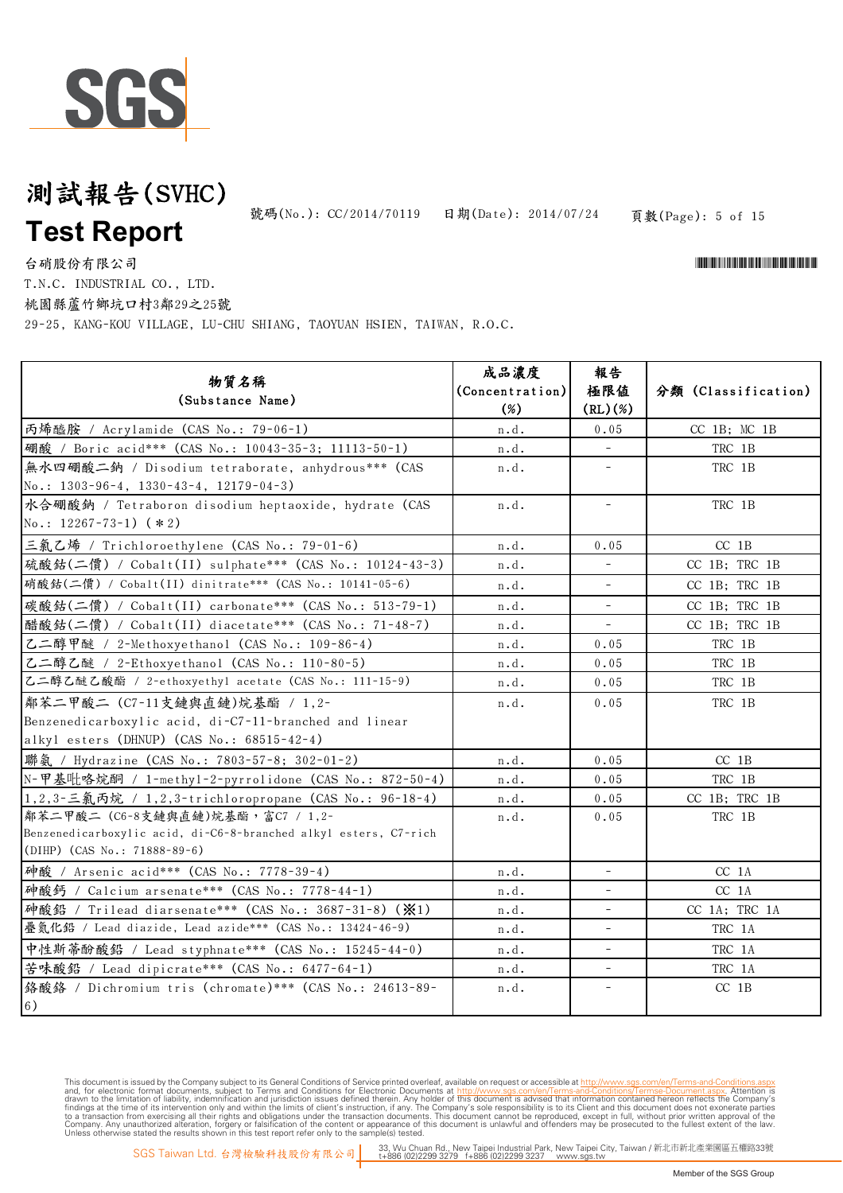

頁數(Page): 5 of 15 號碼(No.): CC/2014/70119 日期(Date): 2014/07/24

\*CONFIDENTIAL AND THE CONFIDENTIAL ACCOUNT OF THE CONFIDENTIAL ACCOUNT AND THE CONFIDENTIAL ACCOUNT AND THE CO

台硝股份有限公司

T.N.C. INDUSTRIAL CO., LTD. 桃園縣蘆竹鄉坑口村3鄰29之25號

29-25, KANG-KOU VILLAGE, LU-CHU SHIANG, TAOYUAN HSIEN, TAIWAN, R.O.C.

| 物質名稱<br>(Substance Name)                                                                              | 成品濃度<br>(Concentration)<br>$(\%)$ | 報告<br>極限值<br>(RL)(%)     | 分類 (Classification) |
|-------------------------------------------------------------------------------------------------------|-----------------------------------|--------------------------|---------------------|
| 丙烯醯胺 / Acrylamide (CAS No.: 79-06-1)                                                                  | n.d.                              | 0.05                     | $CC$ 1B; $MC$ 1B    |
| 硼酸 / Boric acid*** (CAS No.: 10043-35-3; 11113-50-1)                                                  | n.d.                              | $\equiv$                 | TRC 1B              |
| 無水四硼酸二鈉 / Disodium tetraborate, anhydrous *** (CAS<br>No.: $1303-96-4$ , $1330-43-4$ , $12179-04-3$ ) | n.d.                              | $\overline{\phantom{a}}$ | TRC 1B              |
| 水合硼酸鈉 / Tetraboron disodium heptaoxide, hydrate (CAS<br>No.: $12267 - 73 - 1$ ) (*2)                  | n.d.                              | $\overline{\phantom{0}}$ | TRC 1B              |
| 三氯乙烯 / Trichloroethylene (CAS No.: 79-01-6)                                                           | n.d.                              | 0.05                     | $CC$ 1B             |
| 硫酸鈷(二價) / Cobalt(II) sulphate *** (CAS No.: 10124-43-3)                                               | n.d.                              | $\equiv$                 | CC 1B; TRC 1B       |
| 硝酸鈷(二價) / Cobalt(II) dinitrate*** (CAS No.: 10141-05-6)                                               | n.d.                              | $\overline{a}$           | CC 1B; TRC 1B       |
| 碳酸鈷(二價) / Cobalt(II) carbonate*** (CAS No.: 513-79-1)                                                 | n.d.                              | $\overline{\phantom{a}}$ | CC 1B; TRC 1B       |
| 醋酸鈷(二價) / Cobalt(II) diacetate*** (CAS No.: 71-48-7)                                                  | n.d.                              | $\equiv$                 | $CC$ 1B; TRC 1B     |
| 乙二醇甲醚 / 2-Methoxyethanol (CAS No.: 109-86-4)                                                          | n.d.                              | 0.05                     | TRC 1B              |
| 乙二醇乙醚 / 2-Ethoxyethanol (CAS No.: 110-80-5)                                                           | n.d.                              | $0\,.\,05$               | TRC 1B              |
| 乙二醇乙醚乙酸酯 / 2-ethoxyethyl acetate (CAS No.: 111-15-9)                                                  | n.d.                              | 0.05                     | TRC 1B              |
| 鄰苯二甲酸二 (C7-11支鏈與直鏈)烷基酯 / 1,2-                                                                         | n.d.                              | 0.05                     | TRC 1B              |
| Benzenedicarboxylic acid, di-C7-11-branched and linear                                                |                                   |                          |                     |
| alkyl esters (DHNUP) (CAS No.: 68515-42-4)                                                            |                                   |                          |                     |
| 聯氨 / Hydrazine (CAS No.: 7803-57-8; 302-01-2)                                                         | n.d.                              | 0.05                     | $CC$ 1B             |
| N-甲基吡咯烷酮 / 1-methyl-2-pyrrolidone (CAS No.: 872-50-4)                                                 | n.d.                              | 0.05                     | TRC 1B              |
| 1,2,3-三氯丙烷 / 1,2,3-trichloropropane (CAS No.: 96-18-4)                                                | n.d.                              | 0.05                     | CC 1B; TRC 1B       |
| 鄰苯二甲酸二 (C6-8支鏈與直鏈)烷基酯,富C7 / 1,2-                                                                      | n.d.                              | 0.05                     | TRC 1B              |
| Benzenedicarboxylic acid, di-C6-8-branched alkyl esters, C7-rich<br>(DIHP) (CAS No.: 71888-89-6)      |                                   |                          |                     |
| 种酸 / Arsenic acid*** (CAS No.: 7778-39-4)                                                             | n.d.                              | $\bar{ }$                | CC 1A               |
| 种酸鈣 / Calcium arsenate*** (CAS No.: 7778-44-1)                                                        | n.d.                              | $\overline{\phantom{a}}$ | $CC$ 1A             |
| 砷酸鉛 / Trilead diarsenate*** (CAS No.: 3687-31-8) (※1)                                                 | n.d.                              | $\overline{\phantom{a}}$ | CC 1A; TRC 1A       |
| 疊氮化鉛 / Lead diazide, Lead azide*** (CAS No.: 13424-46-9)                                              | n.d.                              | $\overline{\phantom{0}}$ | TRC 1A              |
| 中性斯蒂酚酸鉛 / Lead styphnate*** (CAS No.: 15245-44-0)                                                     | n.d.                              | ÷                        | TRC 1A              |
| 苦味酸鉛 / Lead dipicrate *** (CAS No.: 6477-64-1)                                                        | n.d.                              | $\overline{\phantom{0}}$ | TRC 1A              |
| 络酸络 / Dichromium tris (chromate) *** (CAS No.: 24613-89-<br>6)                                        | n.d.                              | $\overline{\phantom{a}}$ | $CC$ 1B             |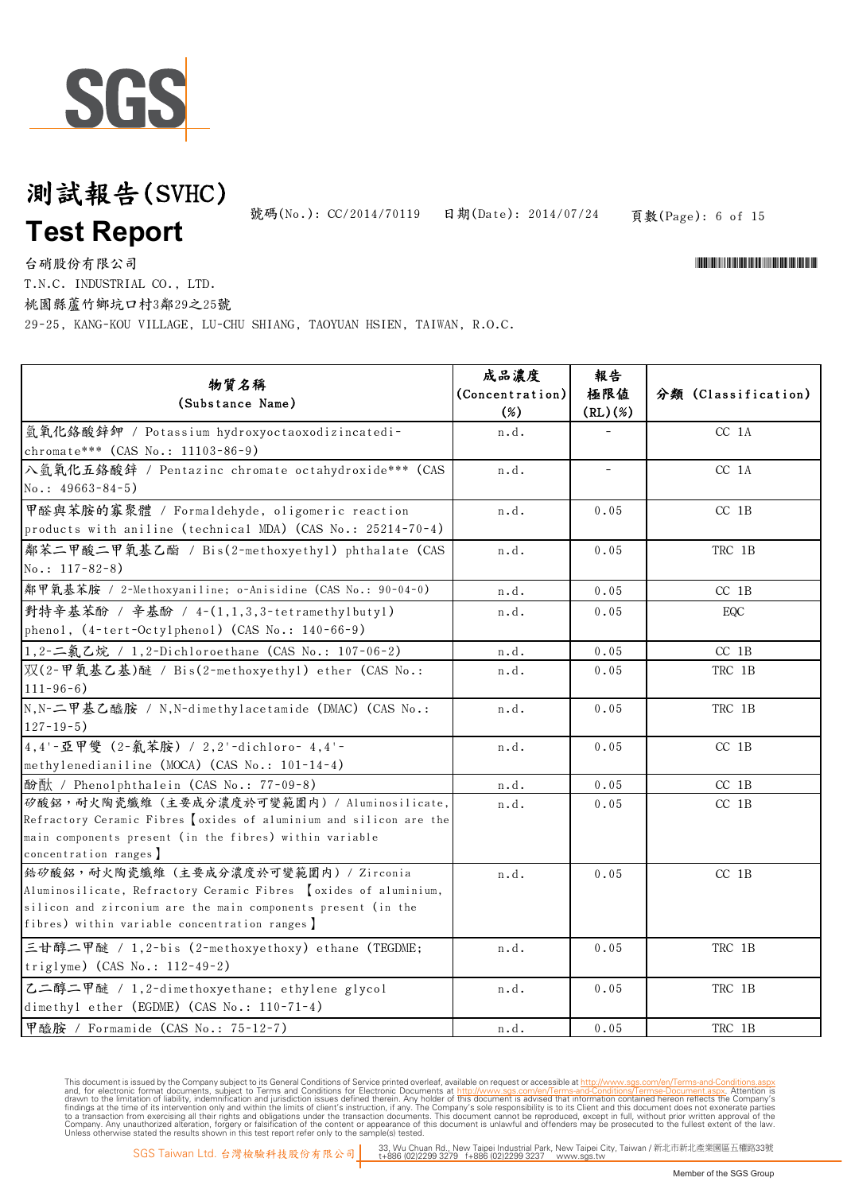

頁數(Page): 6 of 15 號碼(No.): CC/2014/70119 日期(Date): 2014/07/24

\*CONFIDENTIAL AND THE CONFIDENTIAL ACCOUNT OF THE CONFIDENTIAL ACCOUNT AND THE CONFIDENTIAL ACCOUNT AND THE CO

台硝股份有限公司 T.N.C. INDUSTRIAL CO., LTD.

桃園縣蘆竹鄉坑口村3鄰29之25號

29-25, KANG-KOU VILLAGE, LU-CHU SHIANG, TAOYUAN HSIEN, TAIWAN, R.O.C.

| 物質名稱<br>(Substance Name)                                                                                                                                                                                                    | 成品濃度<br>(Concentration)<br>$(\%)$ | 報告<br>極限値<br>(RL)(%) | 分類 (Classification) |
|-----------------------------------------------------------------------------------------------------------------------------------------------------------------------------------------------------------------------------|-----------------------------------|----------------------|---------------------|
| 氫氧化鉻酸鋅鉀 / Potassium hydroxyoctaoxodizincatedi-<br>chromate*** (CAS No.: 11103-86-9)                                                                                                                                         | n.d.                              |                      | $CC$ 1A             |
| 入氫氧化五鉻酸鋅 / Pentazinc chromate octahydroxide*** (CAS<br>$No.: 49663-84-5)$                                                                                                                                                   | n.d.                              | -                    | CC 1A               |
| 甲醛與苯胺的寡聚體 / Formaldehyde, oligomeric reaction<br>products with aniline (technical MDA) (CAS No.: 25214-70-4)                                                                                                                | n.d.                              | 0.05                 | $CC$ 1B             |
| 鄰苯二甲酸二甲氧基乙酯 / Bis(2-methoxyethyl) phthalate (CAS<br>$No.: 117-82-8)$                                                                                                                                                        | n.d.                              | 0.05                 | TRC 1B              |
| 鄰甲氧基苯胺 / 2-Methoxyaniline; o-Anisidine (CAS No.: 90-04-0)                                                                                                                                                                   | n.d.                              | 0.05                 | $CC$ 1B             |
| 對特辛基苯酚 / 辛基酚 / 4-(1,1,3,3-tetramethylbutyl)<br>phenol, (4-tert-Octylphenol) (CAS No.: 140-66-9)                                                                                                                             | n.d.                              | 0.05                 | EQC                 |
| 1,2-二氯乙烷 / 1,2-Dichloroethane (CAS No.: 107-06-2)                                                                                                                                                                           | n.d.                              | 0.05                 | $CC$ 1B             |
| 双(2-甲氧基乙基)醚 / Bis(2-methoxyethyl) ether (CAS No.:<br>$111 - 96 - 6$ )                                                                                                                                                       | n.d.                              | 0.05                 | TRC 1B              |
| N,N-二甲基乙醯胺 / N,N-dimethylacetamide (DMAC) (CAS No.:<br>$127 - 19 - 5$ )                                                                                                                                                     | n.d.                              | 0.05                 | TRC 1B              |
| 4,4'-亞甲雙 (2-氣苯胺) / 2,2'-dichloro- 4,4'-<br>methylenedianiline (MOCA) (CAS No.: 101-14-4)                                                                                                                                    | n.d.                              | 0.05                 | $CC$ 1B             |
| 酚酞 / Phenolphthalein (CAS No.: 77-09-8)                                                                                                                                                                                     | n.d.                              | $0\,$ . $0\,5$       | $CC$ 1B             |
| 矽酸鋁,耐火陶瓷纖維(主要成分濃度於可變範圍内) / Aluminosilicate,<br>Refractory Ceramic Fibres <i>oxides</i> of aluminium and silicon are the<br>main components present (in the fibres) within variable<br>concentration ranges]                 | n.d.                              | 0.05                 | $CC$ 1B             |
| 结矽酸鋁, 耐火陶瓷纖維(主要成分濃度於可變範圍内) / Zirconia<br>Aluminosilicate, Refractory Ceramic Fibres [oxides of aluminium,<br>silicon and zirconium are the main components present (in the<br>fibres) within variable concentration ranges] | n.d.                              | 0.05                 | $CC$ 1B             |
| 三甘醇二甲醚 / 1,2-bis (2-methoxyethoxy) ethane (TEGDME;<br>triglyme) (CAS No.: 112-49-2)                                                                                                                                         | n.d.                              | 0.05                 | TRC 1B              |
| 乙二醇二甲醚 / 1,2-dimethoxyethane; ethylene glycol<br>dimethyl ether (EGDME) (CAS No.: 110-71-4)                                                                                                                                 | n.d.                              | 0.05                 | TRC 1B              |
| 甲醯胺 / Formamide (CAS No.: 75-12-7)                                                                                                                                                                                          | n.d.                              | 0.05                 | TRC 1B              |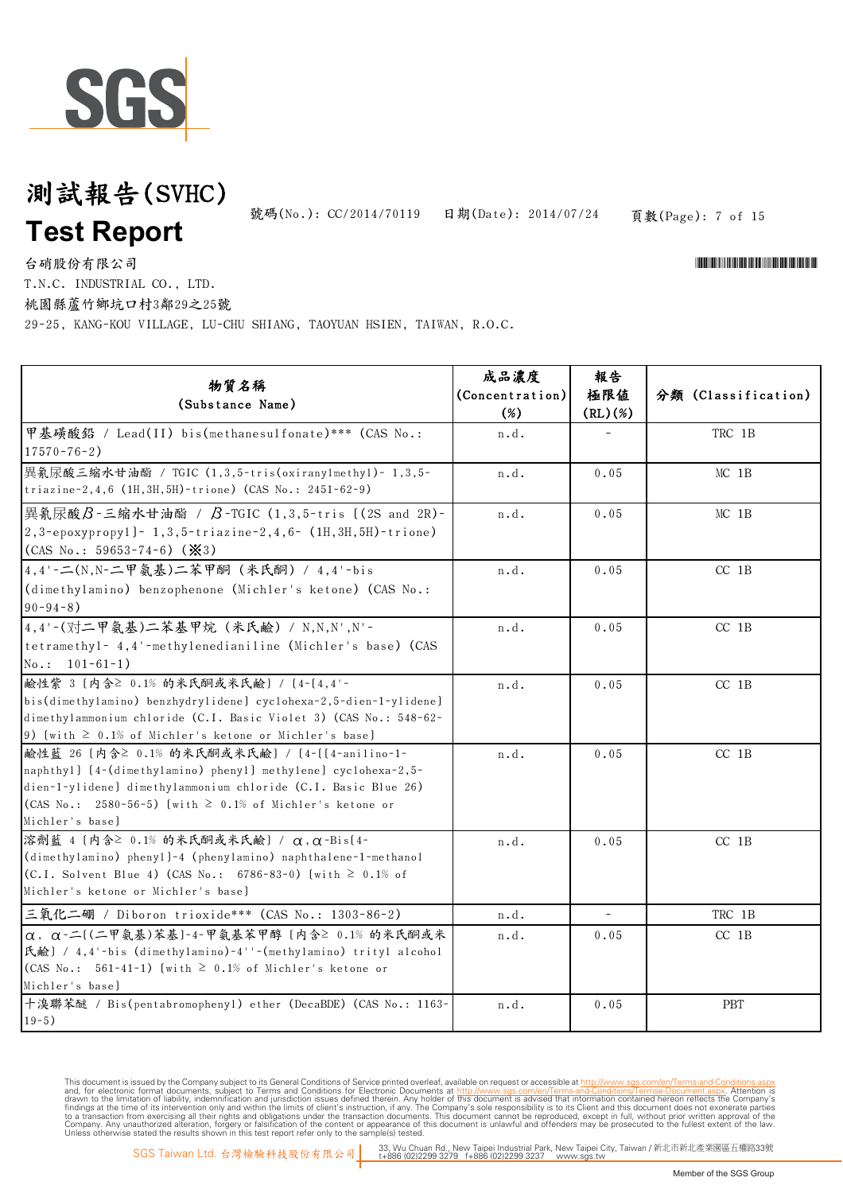

頁數(Page): 7 of 15 號碼(No.): CC/2014/70119 日期(Date): 2014/07/24

\*CONFIDENTIAL AND THE CONFIDENTIAL ACCOUNT OF THE CONFIDENTIAL ACCOUNT AND THE CONFIDENTIAL ACCOUNT AND THE CO

台硝股份有限公司 T.N.C. INDUSTRIAL CO., LTD.

桃園縣蘆竹鄉坑口村3鄰29之25號

29-25, KANG-KOU VILLAGE, LU-CHU SHIANG, TAOYUAN HSIEN, TAIWAN, R.O.C.

| 物質名稱<br>(Substance Name)                                                                                                                                                                                                                                                            | 成品濃度<br>(Concentration)<br>$(\%)$ | 報告<br>極限値<br>(RL)(%)     | 分類 (Classification) |
|-------------------------------------------------------------------------------------------------------------------------------------------------------------------------------------------------------------------------------------------------------------------------------------|-----------------------------------|--------------------------|---------------------|
| 甲基磺酸鉛 / Lead(II) bis(methanesulfonate) *** (CAS No.:<br>$17570 - 76 - 2$                                                                                                                                                                                                            | n.d.                              |                          | TRC 1B              |
| 異氰尿酸三縮水甘油酯 / TGIC (1,3,5-tris(oxiranylmethyl)- 1,3,5-<br>triazine-2,4,6 (1H,3H,5H)-trione) (CAS No.: 2451-62-9)                                                                                                                                                                     | n.d.                              | 0.05                     | $MC$ 1B             |
| 異氰尿酸B-三縮水甘油酯 / B-TGIC (1,3,5-tris [(2S and 2R)-<br>2,3-epoxypropy1]- 1,3,5-triazine-2,4,6- (1H,3H,5H)-trione)<br>(CAS No.: 59653-74-6) ( $\cancel{\mathbf{X}}$ 3)                                                                                                                   | n.d.                              | 0.05                     | $MC$ 1B             |
| 4,4'-二(N,N-二甲氨基)二苯甲酮 (米氏酮) / 4,4'-bis<br>(dimethylamino) benzophenone (Michler's ketone) (CAS No.:<br>$90 - 94 - 8$ )                                                                                                                                                               | n.d.                              | 0.05                     | $CC$ 1B             |
| 4,4'-(对二甲氨基)二苯基甲烷 (米氏鹼) / N,N,N',N'-<br>tetramethyl- 4,4'-methylenedianiline (Michler's base) (CAS<br>$No.: 101-61-1)$                                                                                                                                                              | n.d.                              | 0.05                     | $CC$ 1B             |
| 鹼性紫 3 〔内含≥ 0.1% 的米氏酮或米氏鹼〕 / 〔4-〔4,4'-<br>bis(dimethylamino) benzhydrylidene) cyclohexa-2,5-dien-1-ylidene)<br>dimethylammonium chloride (C.I. Basic Violet 3) (CAS No.: 548-62-<br>9) [with $\geq 0.1\%$ of Michler's ketone or Michler's base]                                     | n.d.                              | 0.05                     | $CC$ 1B             |
| <sup></sup> 鹼性藍 26 〔内含≥ 0.1% 的米氏酮或米氏鹼〕 / 〔4-〔〔4-anilino-1-<br>naphthyl) [4-(dimethylamino) phenyl] methylene] cyclohexa-2,5-<br>dien-1-ylidene) dimethylammonium chloride (C.I. Basic Blue 26)<br>(CAS No.: 2580-56-5) [with $\geq 0.1\%$ of Michler's ketone or<br>Michler's base) | n.d.                              | 0.05                     | $CC$ 1B             |
| 溶劑藍 4 [内含≥ 0.1% 的米氏酮或米氏鹼] / α, α-Bis[4-<br>(dimethylamino) phenyl]-4 (phenylamino) naphthalene-1-methanol<br>(C.I. Solvent Blue 4) (CAS No.: 6786-83-0) [with $\geq 0.1\%$ of<br>Michler's ketone or Michler's base]                                                                | n.d.                              | 0.05                     | $CC$ 1B             |
| 三氧化二硼 / Diboron trioxide*** (CAS No.: 1303-86-2)                                                                                                                                                                                                                                    | n.d.                              | $\overline{\phantom{a}}$ | TRC 1B              |
| $\alpha$ , $\alpha$ -二[(二甲氨基)苯基]-4-甲氨基苯甲醇 [内含≥ 0.1% 的米氏酮或米<br>氏鹼] / 4,4'-bis (dimethylamino)-4''-(methylamino) trityl alcohol<br>(CAS No.: 561-41-1) [with $\geq$ 0.1% of Michler's ketone or<br>Michler's base]                                                                    | n.d.                              | 0.05                     | $CC$ 1B             |
| 十溴聯苯醚 / Bis(pentabromophenyl) ether (DecaBDE) (CAS No.: 1163-<br>$19-5)$                                                                                                                                                                                                            | n.d.                              | 0.05                     | PBT                 |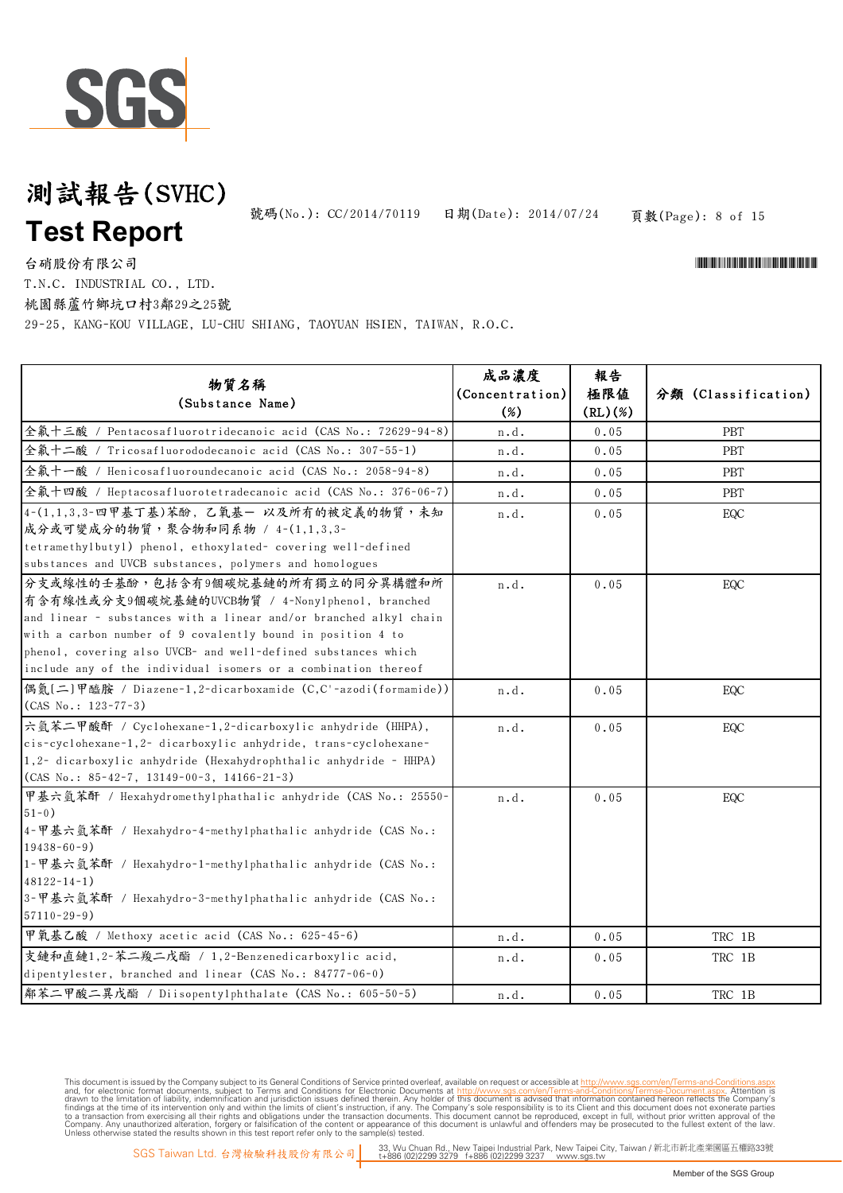

頁數(Page): 8 of 15 號碼(No.): CC/2014/70119 日期(Date): 2014/07/24

\*CONFIDENTIAL AND THE CONFIDENTIAL ACCOUNT OF THE CONFIDENTIAL ACCOUNT AND THE CONFIDENTIAL ACCOUNT AND THE CO

台硝股份有限公司 T.N.C. INDUSTRIAL CO., LTD.

桃園縣蘆竹鄉坑口村3鄰29之25號

29-25, KANG-KOU VILLAGE, LU-CHU SHIANG, TAOYUAN HSIEN, TAIWAN, R.O.C.

| 物質名稱<br>(Substance Name)                                                                                                                                                                                                                                                                                                                                    | 成品濃度<br>(Concentration)<br>$(\%)$ | 報告<br>極限値<br>(RL)(%) | 分類 (Classification) |
|-------------------------------------------------------------------------------------------------------------------------------------------------------------------------------------------------------------------------------------------------------------------------------------------------------------------------------------------------------------|-----------------------------------|----------------------|---------------------|
| 全氟十三酸 / Pentacosafluorotridecanoic acid (CAS No.: 72629-94-8)                                                                                                                                                                                                                                                                                               | n.d.                              | 0.05                 | <b>PBT</b>          |
| 全氟十二酸 / Tricosafluorododecanoic acid (CAS No.: 307-55-1)                                                                                                                                                                                                                                                                                                    | n.d.                              | 0.05                 | PBT                 |
| 全氟十一酸 / Henicosafluoroundecanoic acid (CAS No.: 2058-94-8)                                                                                                                                                                                                                                                                                                  | n.d.                              | 0.05                 | <b>PBT</b>          |
| 全氟十四酸 / Heptacosafluorotetradecanoic acid (CAS No.: 376-06-7)                                                                                                                                                                                                                                                                                               | n.d.                              | 0.05                 | <b>PBT</b>          |
| 4-(1,1,3,3-四甲基丁基)苯酚, 乙氧基一 以及所有的被定義的物質,未知<br>成分或可變成分的物質,聚合物和同系物 / 4-(1,1,3,3-<br>tetramethylbutyl) phenol, ethoxylated- covering well-defined<br>substances and UVCB substances, polymers and homologues                                                                                                                                                     | n.d.                              | 0.05                 | EQC                 |
| 分支或線性的壬基酚,包括含有9個碳烷基鏈的所有獨立的同分異構體和所<br>有含有線性或分支9個碳烷基鏈的UVCB物質 / 4-Nony1phenol, branched<br>and linear - substances with a linear and/or branched alkyl chain<br>with a carbon number of 9 covalently bound in position 4 to<br>phenol, covering also UVCB- and well-defined substances which<br>include any of the individual isomers or a combination thereof | n.d.                              | 0.05                 | EQC                 |
| 偶氮[二]甲醯胺 / Diazene-1,2-dicarboxamide (C,C'-azodi(formamide))<br>$(CAS No.: 123-77-3)$                                                                                                                                                                                                                                                                       | n.d.                              | 0.05                 | EQC                 |
| 六氫苯二甲酸酐 / Cyclohexane-1,2-dicarboxylic anhydride (HHPA),<br>cis-cyclohexane-1,2- dicarboxylic anhydride, trans-cyclohexane-<br>1,2- dicarboxylic anhydride (Hexahydrophthalic anhydride - HHPA)<br>$(CAS No.: 85-42-7, 13149-00-3, 14166-21-3)$                                                                                                             | $\mathbf n$ . d .                 | 0.05                 | EQC                 |
| 甲基六氫苯酐 / Hexahydromethylphathalic anhydride (CAS No.: 25550-<br>$51 - 0$ )<br>4-甲基六氫苯酐 / Hexahydro-4-methylphathalic anhydride (CAS No.:<br>$19438 - 60 - 9$ )<br> 1-甲基六氫苯酐 / Hexahydro-1-methylphathalic anhydride (CAS No.:<br>$48122 - 14 - 1$<br>3-甲基六氫苯酐 / Hexahydro-3-methylphathalic anhydride (CAS No.:<br>$57110 - 29 - 9$ )                       | n.d.                              | 0.05                 | EQC                 |
| 甲氧基乙酸 / Methoxy acetic acid (CAS No.: 625-45-6)                                                                                                                                                                                                                                                                                                             | n.d.                              | 0.05                 | TRC 1B              |
| 支鏈和直鏈1,2-苯二羧二戊酯 / 1,2-Benzenedicarboxylic acid,<br>dipentylester, branched and linear (CAS No.: 84777-06-0)                                                                                                                                                                                                                                                 | n.d.                              | 0.05                 | TRC 1B              |
| 鄰苯二甲酸二異戊酯 / Diisopentylphthalate (CAS No.: 605-50-5)                                                                                                                                                                                                                                                                                                        | n.d.                              | 0.05                 | TRC 1B              |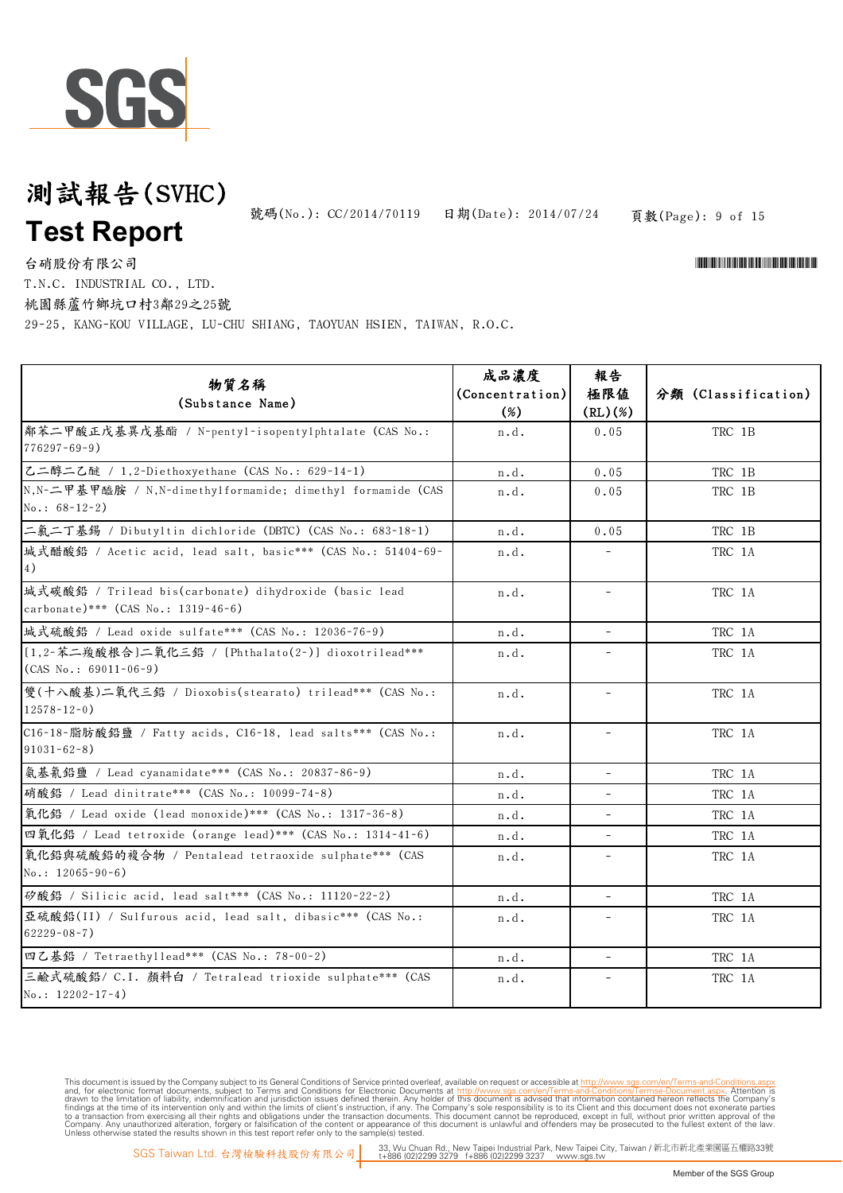

頁數(Page): 9 of 15 號碼(No.): CC/2014/70119 日期(Date): 2014/07/24

台硝股份有限公司

T.N.C. INDUSTRIAL CO., LTD.

桃園縣蘆竹鄉坑口村3鄰29之25號

29-25, KANG-KOU VILLAGE, LU-CHU SHIANG, TAOYUAN HSIEN, TAIWAN, R.O.C.

| 物質名稱                                                          | 成品濃度            | 報告                       |                     |
|---------------------------------------------------------------|-----------------|--------------------------|---------------------|
| (Substance Name)                                              | (Concentration) | 極限値                      | 分類 (Classification) |
|                                                               | $(\%)$          | (RL)(%)                  |                     |
| 鄰苯二甲酸正戊基異戊基酯 / N-pentyl-isopentylphtalate (CAS No.:           | n.d.            | 0.05                     | TRC 1B              |
| $776297 - 69 - 9$ )                                           |                 |                          |                     |
| 乙二醇二乙醚 / 1,2-Diethoxyethane (CAS No.: 629-14-1)               | n.d.            | 0.05                     | TRC 1B              |
| N, N-二甲基甲醯胺 / N, N-dimethylformamide; dimethyl formamide (CAS | n.d.            | 0.05                     | TRC 1B              |
| No.: $68-12-2$ )                                              |                 |                          |                     |
| 二氣二丁基錫 / Dibutyltin dichloride (DBTC) (CAS No.: 683-18-1)     | n.d.            | 0.05                     | TRC 1B              |
| 城式醋酸鉛 / Acetic acid, lead salt, basic *** (CAS No.: 51404-69- | n.d.            | $\overline{\phantom{a}}$ | TRC 1A              |
| 4)                                                            |                 |                          |                     |
| 城式碳酸鉛 / Trilead bis(carbonate) dihydroxide (basic lead        | n.d.            |                          | TRC 1A              |
| carbonate)*** (CAS No.: 1319-46-6)                            |                 |                          |                     |
| 城式硫酸鉛 / Lead oxide sulfate*** (CAS No.: 12036-76-9)           | n.d.            | $\blacksquare$           | TRC 1A              |
| [1,2-苯二羧酸根合]二氧化三鉛 / [Phthalato(2-)] dioxotrilead***           | n.d.            |                          | TRC 1A              |
| $(CAS No.: 69011-06-9)$                                       |                 |                          |                     |
| 雙(十八酸基)二氧代三鉛 / Dioxobis(stearato) trilead*** (CAS No.:        | n.d.            | $\overline{\phantom{a}}$ | TRC 1A              |
| $12578 - 12 - 0$ )                                            |                 |                          |                     |
| C16-18-脂肪酸鉛鹽 / Fatty acids, C16-18, lead salts *** (CAS No.:  | n.d.            | $\overline{\phantom{a}}$ | TRC 1A              |
| $91031 - 62 - 8$ )                                            |                 |                          |                     |
| 氨基氰鉛鹽 / Lead cyanamidate *** (CAS No.: 20837-86-9)            | n.d.            | $\overline{a}$           | TRC 1A              |
| 硝酸鉛 / Lead dinitrate *** (CAS No.: 10099-74-8)                | n.d.            | $\overline{\phantom{a}}$ | TRC 1A              |
| 氧化鉛 / Lead oxide (lead monoxide)*** (CAS No.: 1317-36-8)      | n.d.            | $\overline{\phantom{a}}$ | TRC 1A              |
| 四氧化鋁 / Lead tetroxide (orange lead)*** (CAS No.: 1314-41-6)   | n.d.            |                          | TRC 1A              |
| 氧化鉛與硫酸鉛的複合物 / Pentalead tetraoxide sulphate *** (CAS          | n.d.            | $\equiv$                 | TRC 1A              |
| $No.: 12065 - 90 - 6)$                                        |                 |                          |                     |
| 矽酸鉛 / Silicic acid, lead salt *** (CAS No.: 11120-22-2)       | n.d.            | $\overline{\phantom{a}}$ | TRC 1A              |
| 亞硫酸鉛(II) / Sulfurous acid, lead salt, dibasic *** (CAS No.:   | n.d.            | $\overline{\phantom{0}}$ | TRC 1A              |
| $62229 - 08 - 7$ )                                            |                 |                          |                     |
| 四乙基鉛 / Tetraethyllead*** (CAS No.: 78-00-2)                   | n.d.            | $\overline{\phantom{a}}$ | TRC 1A              |
| 三鹼式硫酸鉛/ C.I. 顏料白 / Tetralead trioxide sulphate *** (CAS       | n.d.            | $\bar{ }$                | TRC 1A              |
| $No.: 12202-17-4)$                                            |                 |                          |                     |

This document is issued by the Company subject to Terms and Conditions of Service printed overleaf, available on request or accessible at th<u>ttp://www.sgs.com/en/Terms-and-Conditions/Termse-Document as apx</u><br>and, for electr

\*CONTRACTOR AND THE CONTRACTOR OF THE CONTRACTOR OF THE CONTRACTOR OF THE CONTRACTOR OF THE CONTRACTOR OF THE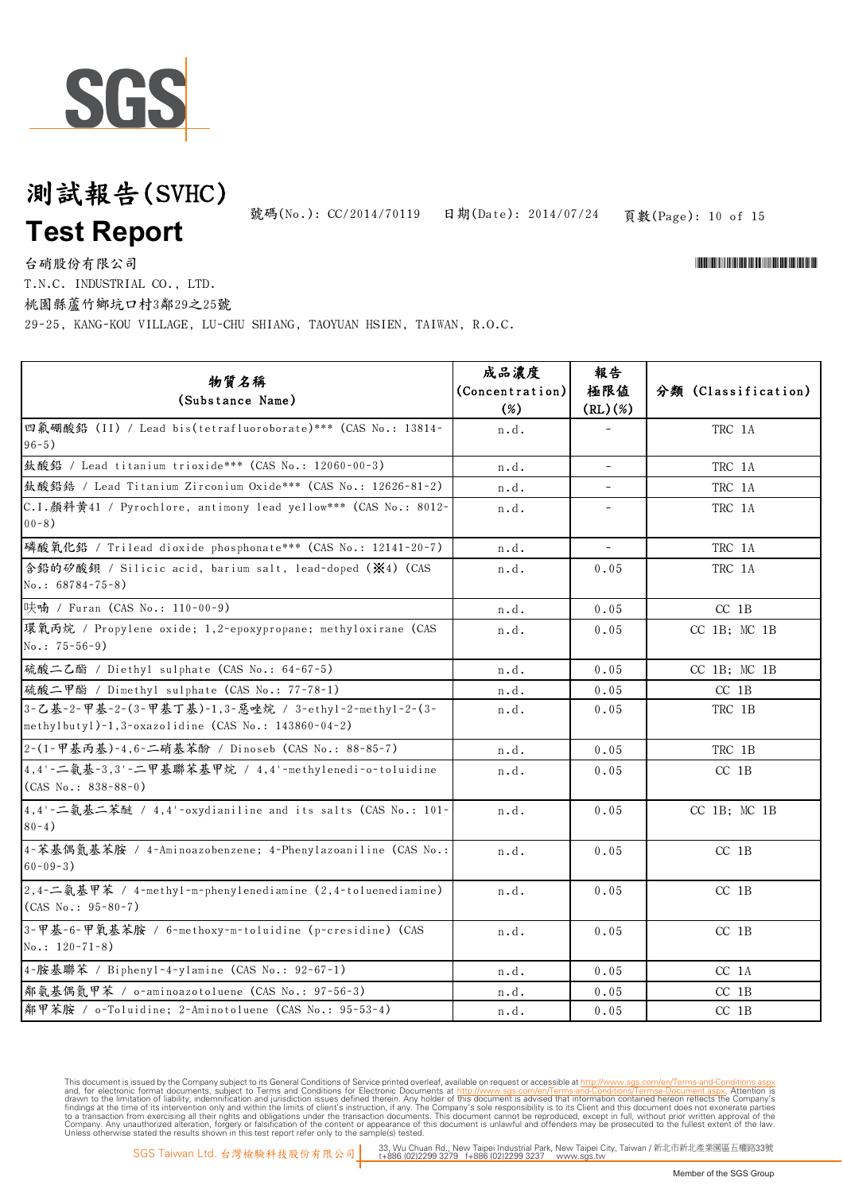# SGS

## 測試報告(SVHC) **Test Report**

頁數(Page): 10 of 15 號碼(No.): CC/2014/70119 日期(Date): 2014/07/24

台硝股份有限公司

T.N.C. INDUSTRIAL CO., LTD.

桃園縣蘆竹鄉坑口村3鄰29之25號

29-25, KANG-KOU VILLAGE, LU-CHU SHIANG, TAOYUAN HSIEN, TAIWAN, R.O.C.

| 物質名稱<br>(Substance Name)                                                                                     | 成品濃度<br>(Concentration)<br>$(\%)$ | 報告<br>極限値<br>(RL)(%)     | 分類 (Classification) |
|--------------------------------------------------------------------------------------------------------------|-----------------------------------|--------------------------|---------------------|
| 四氟硼酸鉛 (II) / Lead bis(tetrafluoroborate) *** (CAS No.: 13814-<br>$96 - 5)$                                   | n.d.                              |                          | TRC 1A              |
| 鈦酸鉛 / Lead titanium trioxide*** (CAS No.: 12060-00-3)                                                        | n.d.                              | $\overline{\phantom{a}}$ | TRC 1A              |
| 鈦酸鉛鋯 / Lead Titanium Zirconium Oxide*** (CAS No.: 12626-81-2)                                                | n.d.                              |                          | TRC 1A              |
| C.I.顏料黃41 / Pyrochlore, antimony lead yellow*** (CAS No.: 8012-<br>$00 - 8$ )                                | n.d.                              |                          | TRC 1A              |
| 磷酸氧化鉛 / Trilead dioxide phosphonate*** (CAS No.: 12141-20-7)                                                 | n.d.                              | $\omega$                 | TRC 1A              |
| 含鉛的矽酸鋇 / Silicic acid, barium salt, lead-doped (※4) (CAS<br>$No.: 68784-75-8)$                               | n.d.                              | 0.05                     | TRC 1A              |
| 呋喃 / Furan (CAS No.: 110-00-9)                                                                               | n.d.                              | 0.05                     | $CC$ 1B             |
| 環氧丙烷 / Propylene oxide; 1,2-epoxypropane; methyloxirane (CAS<br>$No.: 75-56-9)$                              | n.d.                              | 0.05                     | $CC$ 1B; $MC$ 1B    |
| 硫酸二乙酯 / Diethyl sulphate (CAS No.: 64-67-5)                                                                  | n.d.                              | 0.05                     | $CC$ 1B; $MC$ 1B    |
| 硫酸二甲酯 / Dimethyl sulphate (CAS No.: 77-78-1)                                                                 | n.d.                              | 0.05                     | $CC$ 1B             |
| 3-乙基-2-甲基-2-(3-甲基丁基)-1,3-惡唑烷 / 3-ethyl-2-methyl-2-(3-<br>methylbutyl)-1,3-oxazolidine (CAS No.: 143860-04-2) | n.d.                              | 0.05                     | TRC 1B              |
| 2-(1-甲基丙基)-4,6-二硝基苯酚 / Dinoseb (CAS No.: 88-85-7)                                                            | n.d.                              | 0.05                     | TRC 1B              |
| 4,4'-二氨基-3,3'-二甲基聯苯基甲烷 / 4,4'-methylenedi-o-toluidine<br>$(CAS No.: 838-88-0)$                               | n.d.                              | 0.05                     | $CC$ 1B             |
| 4,4'-二氨基二苯醚 / 4,4'-oxydianiline and its salts (CAS No.: 101-<br>$80 - 4)$                                    | n.d.                              | 0.05                     | CC 1B; MC 1B        |
| 4-苯基偶氮基苯胺 / 4-Aminoazobenzene; 4-Phenylazoaniline (CAS No.:<br>$60 - 09 - 3$ )                               | n.d.                              | 0.05                     | $CC$ 1B             |
| 2,4-二氨基甲苯 / 4-methyl-m-phenylenediamine (2,4-toluenediamine)<br>$(CAS No.: 95-80-7)$                         | n.d.                              | 0.05                     | $CC$ 1B             |
| 3-甲基-6-甲氧基苯胺 / 6-methoxy-m-toluidine (p-cresidine) (CAS<br>$No.: 120-71-8)$                                  | n.d.                              | 0.05                     | $CC$ 1B             |
| 4-胺基聯苯 / Bipheny1-4-ylamine (CAS No.: 92-67-1)                                                               | n.d.                              | 0.05                     | CC 1A               |
| 鄰氨基偶氮甲苯 / o-aminoazotoluene (CAS No.: 97-56-3)                                                               | n.d.                              | 0.05                     | $CC$ 1B             |
| 鄰甲苯胺 / o-Toluidine; 2-Aminotoluene (CAS No.: 95-53-4)                                                        | n.d.                              | 0.05                     | $CC$ 1B             |

This document is issued by the Company subject to Terms and Conditions of Service printed overleaf, available on request or accessible at th<u>ttp://www.sgs.com/en/Terms-and-Conditions/Termse-Document as apx</u><br>and, for electr

\*CONFIDENTIAL AND THE CONFIDENTIAL ACCOUNT OF THE CONFIDENTIAL ACCOUNT AND THE CONFIDENTIAL ACCOUNT AND THE CO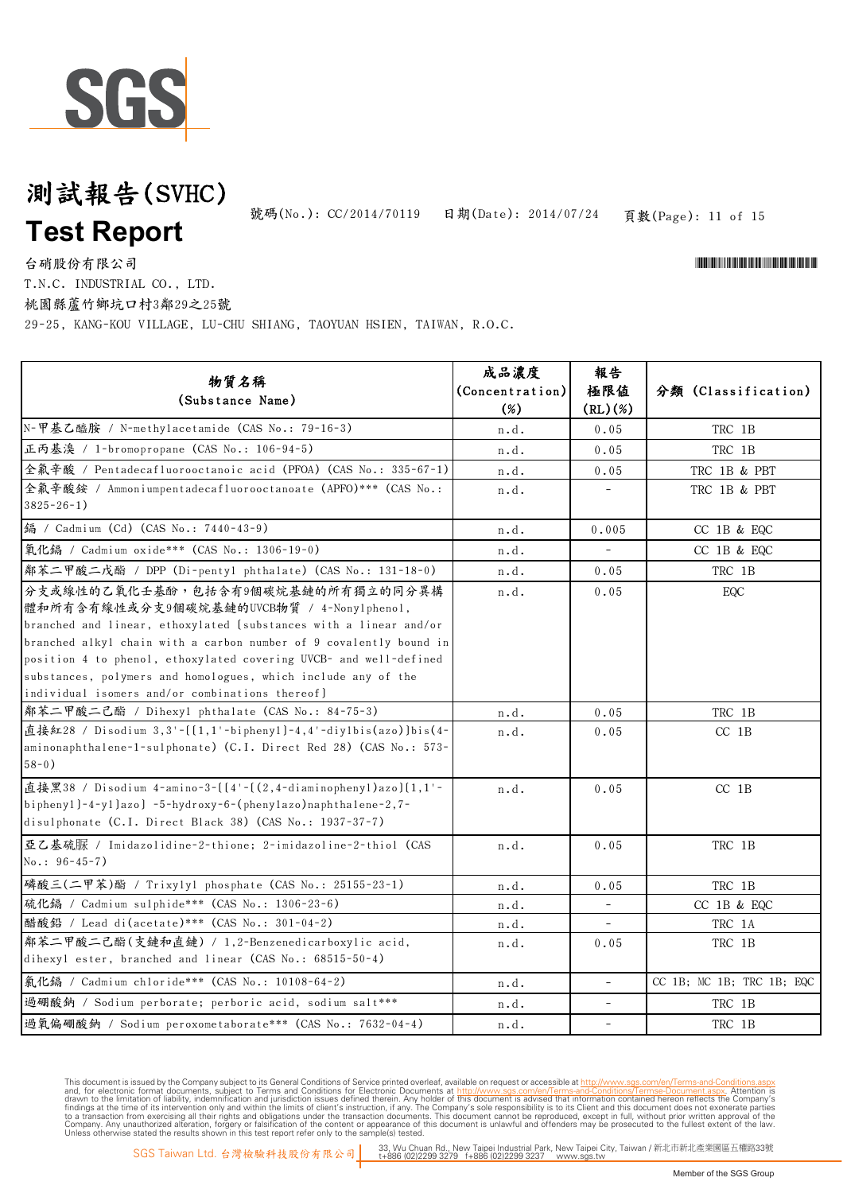

頁數(Page): 11 of 15 號碼(No.): CC/2014/70119 日期(Date): 2014/07/24

\*CONFIDENTIAL AND THE CONFIDENTIAL ACCOUNT OF THE CONFIDENTIAL ACCOUNT AND THE CONFIDENTIAL ACCOUNT AND THE CO

台硝股份有限公司

T.N.C. INDUSTRIAL CO., LTD.

桃園縣蘆竹鄉坑口村3鄰29之25號

29-25, KANG-KOU VILLAGE, LU-CHU SHIANG, TAOYUAN HSIEN, TAIWAN, R.O.C.

| 物質名稱<br>(Substance Name)                                                                                                                                                                                                                                                                                                                                                                                           | 成品濃度<br>(Concentration)<br>$(\%)$ | 報告<br>極限値<br>(RL)(%)     | 分類 (Classification)       |
|--------------------------------------------------------------------------------------------------------------------------------------------------------------------------------------------------------------------------------------------------------------------------------------------------------------------------------------------------------------------------------------------------------------------|-----------------------------------|--------------------------|---------------------------|
| N-甲基乙醯胺 / N-methylacetamide (CAS No.: 79-16-3)                                                                                                                                                                                                                                                                                                                                                                     | n.d.                              | 0.05                     | TRC 1B                    |
| 正丙基溴 / 1-bromopropane (CAS No.: 106-94-5)                                                                                                                                                                                                                                                                                                                                                                          | n.d.                              | 0.05                     | TRC 1B                    |
| 全氟辛酸 / Pentadecafluorooctanoic acid (PFOA) (CAS No.: 335-67-1)                                                                                                                                                                                                                                                                                                                                                     | n.d.                              | 0.05                     | TRC 1B & PBT              |
| 全氟辛酸銨 / Ammoniumpentadecafluorooctanoate (APFO)*** (CAS No.:<br>$3825 - 26 - 1$ )                                                                                                                                                                                                                                                                                                                                  | n.d.                              | $\overline{\phantom{a}}$ | TRC 1B & PBT              |
| 编 / Cadmium (Cd) (CAS No.: 7440-43-9)                                                                                                                                                                                                                                                                                                                                                                              | n.d.                              | 0.005                    | CC 1B & EQC               |
| 氧化鎘 / Cadmium oxide *** (CAS No.: 1306-19-0)                                                                                                                                                                                                                                                                                                                                                                       | n.d.                              | $\overline{\phantom{a}}$ | CC 1B & EQC               |
| 鄰苯二甲酸二戊酯 / DPP (Di-pentyl phthalate) (CAS No.: 131-18-0)                                                                                                                                                                                                                                                                                                                                                           | n.d.                              | 0.05                     | TRC 1B                    |
| 分支或線性的乙氧化壬基酚,包括含有9個碳烷基鏈的所有獨立的同分異構<br>體和所有含有線性或分支9個碳烷基鏈的UVCB物質 / 4-Nony1pheno1,<br>branched and linear, ethoxylated (substances with a linear and/or<br>branched alkyl chain with a carbon number of 9 covalently bound in<br>position 4 to phenol, ethoxylated covering UVCB- and well-defined<br>substances, polymers and homologues, which include any of the<br>individual isomers and/or combinations thereof] | n.d.                              | 0.05                     | EQC                       |
| 鄰苯二甲酸二己酯 / Dihexyl phthalate (CAS No.: 84-75-3)                                                                                                                                                                                                                                                                                                                                                                    | n.d.                              | 0.05                     | TRC 1B                    |
| 直接紅28 / Disodium 3,3'-[[1,1'-biphenyl]-4,4'-diylbis(azo)]bis(4-<br>aminonaphthalene-1-sulphonate) (C.I. Direct Red 28) (CAS No.: 573-<br>$58 - 0)$                                                                                                                                                                                                                                                                 | n.d.                              | 0.05                     | $CC$ 1B                   |
| 直接黑38 / Disodium 4-amino-3- $[(4 - ((2, 4 - diaminopheny1)azo)(1, 1 -$<br>biphenyl]-4-yl]azo] -5-hydroxy-6-(phenylazo)naphthalene-2,7-<br>disulphonate (C.I. Direct Black 38) (CAS No.: 1937-37-7)                                                                                                                                                                                                                 | n.d.                              | 0.05                     | $CC$ 1B                   |
| 亞乙基硫脲 / Imidazolidine-2-thione; 2-imidazoline-2-thiol (CAS<br>$No.: 96-45-7)$                                                                                                                                                                                                                                                                                                                                      | n.d.                              | 0.05                     | TRC 1B                    |
| 磷酸三(二甲苯)酯 / Trixylyl phosphate (CAS No.: 25155-23-1)                                                                                                                                                                                                                                                                                                                                                               | n.d.                              | 0.05                     | TRC 1B                    |
| 硫化鎘 / Cadmium sulphide *** (CAS No.: 1306-23-6)                                                                                                                                                                                                                                                                                                                                                                    | n.d.                              | $\overline{\phantom{a}}$ | CC 1B & EQC               |
| 醋酸鉛 / Lead di(acetate) *** (CAS No.: 301-04-2)                                                                                                                                                                                                                                                                                                                                                                     | n.d.                              | $\overline{\phantom{a}}$ | TRC 1A                    |
| 鄰苯二甲酸二己酯(支鏈和直鏈) / 1,2-Benzenedicarboxylic acid,<br>dihexyl ester, branched and linear (CAS No.: 68515-50-4)                                                                                                                                                                                                                                                                                                        | n.d.                              | 0.05                     | TRC 1B                    |
| 氣化鎘 / Cadmium chloride*** (CAS No.: 10108-64-2)                                                                                                                                                                                                                                                                                                                                                                    | n.d.                              | $\frac{1}{2}$            | CC 1B; MC 1B; TRC 1B; EQC |
| 過硼酸鈉 / Sodium perborate; perboric acid, sodium salt ***                                                                                                                                                                                                                                                                                                                                                            | n.d.                              | $\overline{\phantom{0}}$ | TRC 1B                    |
| 過氧偏硼酸鈉 / Sodium peroxometaborate *** (CAS No.: 7632-04-4)                                                                                                                                                                                                                                                                                                                                                          | n.d.                              | $\overline{\phantom{a}}$ | TRC 1B                    |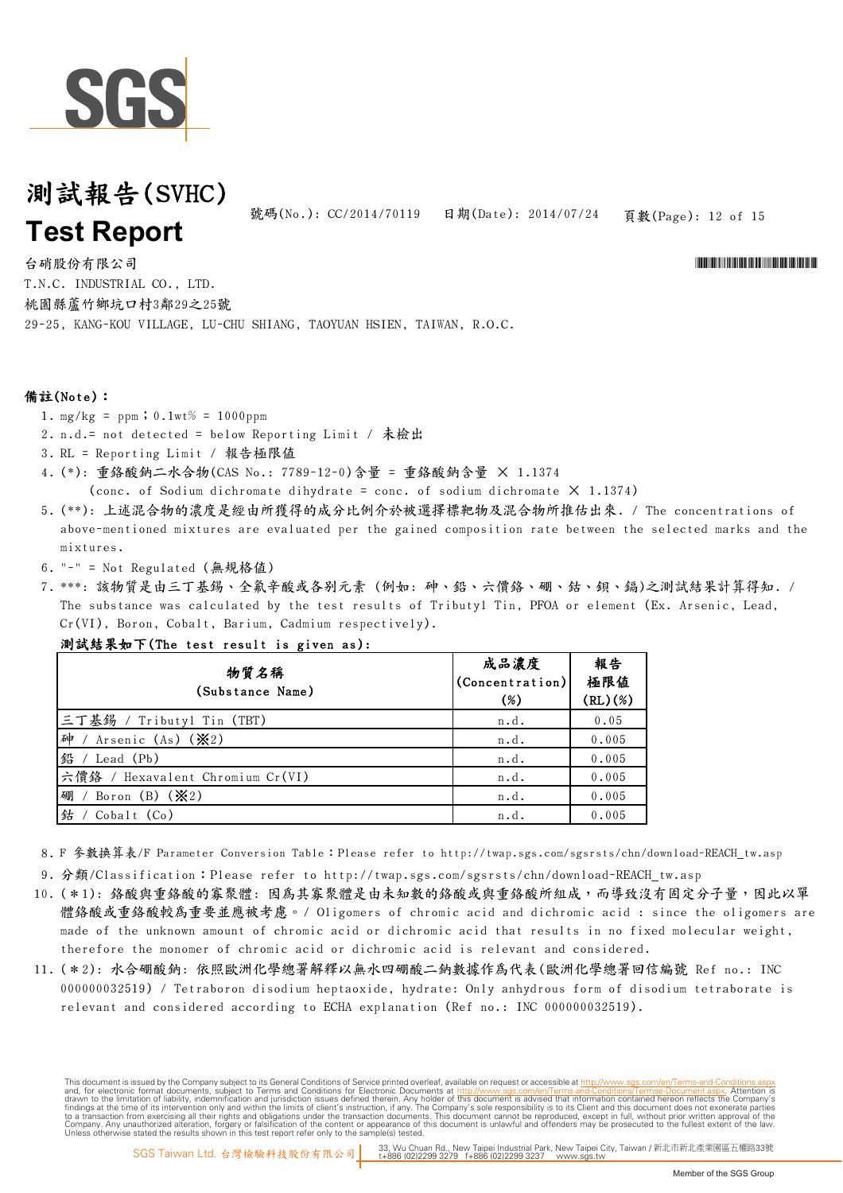

號碼(No.): CC/2014/70119 日期(Date): 2014/07/24

頁數(Page): 12 of 15

\*CONFIDENTIAL AND THE CONFIDENTIAL ACCOUNT OF THE CONFIDENTIAL ACCOUNT AND THE CONFIDENTIAL ACCOUNT AND THE CO

台硝股份有限公司 29-25, KANG-KOU VILLAGE, LU-CHU SHIANG, TAOYUAN HSIEN, TAIWAN, R.O.C. T.N.C. INDUSTRIAL CO., LTD. 桃園縣蘆竹鄉坑口村3鄰29之25號

#### 備註(Note):

- 1.  $mg/kg = ppm$ ; 0.1wt% = 1000ppm
- 2. n.d.= not detected = below Reporting Limit / 未檢出
- 3. RL = Reporting Limit / 報告極限值
- 4. (\*): 重鉻酸鈉二水合物(CAS No.: 7789-12-0)含量 = 重鉻酸鈉含量 × 1.1374 (conc. of Sodium dichromate dihydrate = conc. of sodium dichromate  $X$  1.1374)
- 5. (\*\*): 上述混合物的濃度是經由所獲得的成分比例介於被選擇標靶物及混合物所推估出來. / The concentrations of
- above-mentioned mixtures are evaluated per the gained composition rate between the selected marks and the mixtures.
- 6. "-" = Not Regulated (無規格值)
- 7. \*\*\*: 該物質是由三丁基錫、全氟辛酸或各別元素 (例如: 砷、鉛、六價鉻、硼、鈷、鋇、鎘)之測試結果計算得知. / The substance was calculated by the test results of Tributyl Tin, PFOA or element (Ex. Arsenic, Lead, Cr(VI), Boron, Cobalt, Barium, Cadmium respectively).

| 測試結果如下(The test result is given as): |                                   |                      |
|--------------------------------------|-----------------------------------|----------------------|
| 物質名稱<br>(Substance Name)             | 成品濃度<br>(Concentration)<br>$(\%)$ | 報告<br>極限値<br>(RL)(%) |
| 三丁基錫 / Tributyl Tin (TBT)            | n.d.                              | 0.05                 |
| 砷<br>Arsenic (As) (※2)               | n.d.                              | 0.005                |
| 鉛 / Lead (Pb)                        | n.d.                              | 0.005                |
| 六價鉻 / Hexavalent Chromium Cr(VI)     | n.d.                              | 0.005                |
| 硼<br>/ Boron (B) $(\mathcal{X}2)$    | n.d.                              | 0.005                |
| 鉆<br>Cobalt (Co)                     | n.d.                              | 0.005                |

8. F 參數換算表/F Parameter Conversion Table:Please refer to http://twap.sgs.com/sgsrsts/chn/download-REACH\_tw.asp

- 9. 分類/Classification:Please refer to http://twap.sgs.com/sgsrsts/chn/download-REACH\_tw.asp
- 10. ( \* 1): 絡酸與重絡酸的寡聚體: 因為其寡聚體是由未知數的絡酸或與重絡酸所組成,而導致沒有固定分子量,因此以單 體鉻酸或重鉻酸較為重要並應被考慮。/ Oligomers of chromic acid and dichromic acid : since the oligomers are made of the unknown amount of chromic acid or dichromic acid that results in no fixed molecular weight, therefore the monomer of chromic acid or dichromic acid is relevant and considered.
- 11. (\*2): 水合硼酸鈉: 依照歐洲化學總署解釋以無水四硼酸二鈉數據作為代表(歐洲化學總署回信編號 Ref no.: INC 000000032519) / Tetraboron disodium heptaoxide, hydrate: Only anhydrous form of disodium tetraborate is relevant and considered according to ECHA explanation (Ref no.: INC 000000032519).

This document is issued by the Company subject to its General Conditions of Service printed overleaf, available on request or accessible at http://www.sqs.com/en/Terms-and-Conditions. and, for electronic format documents, subject to Terms and Conditions for Electronic Documents at http://www.sgs.com/en/Terms-and-Conditions/Terms-Document aspx. Attention is drawn to the limitation of lability, indemnific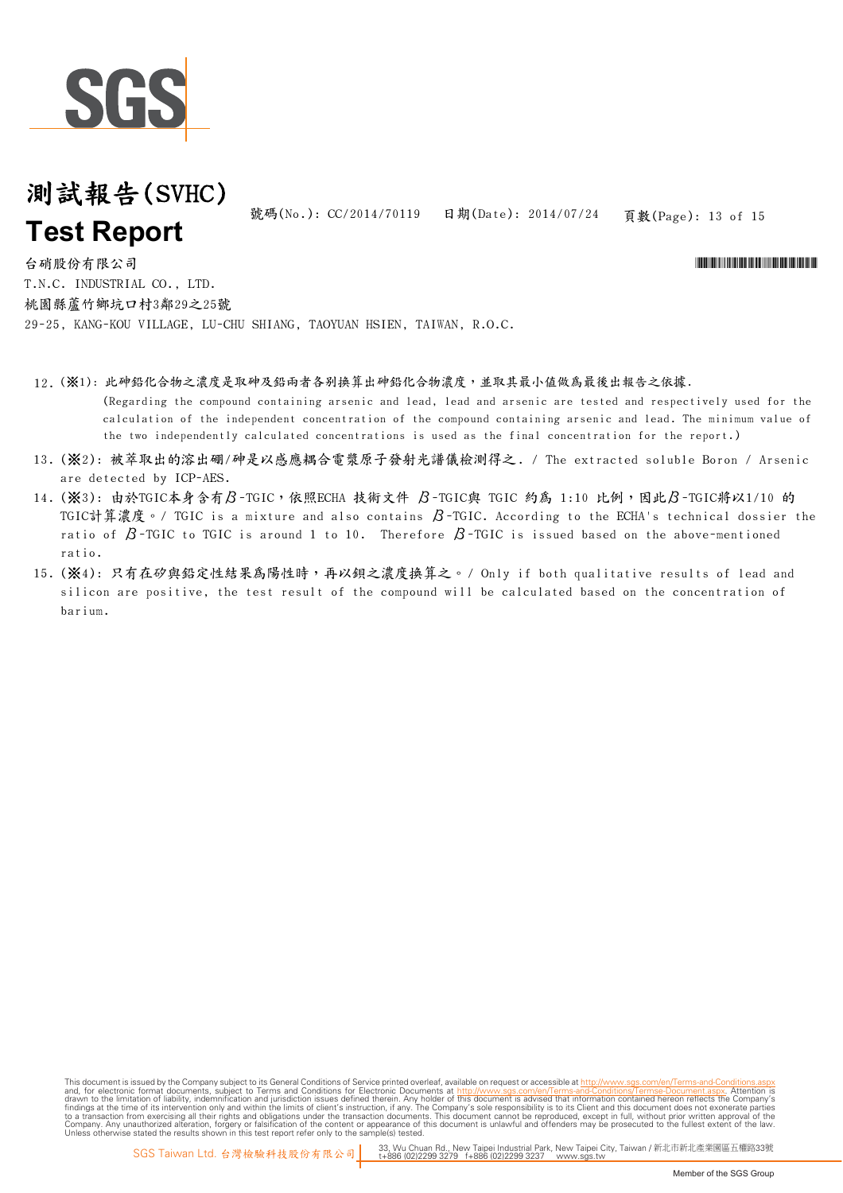

頁數(Page): 13 of 15 號碼(No.): CC/2014/70119 日期(Date): 2014/07/24

\*CONFIDENTIAL AND THE CONFIDENTIAL ACCOUNT OF THE CONFIDENTIAL ACCOUNT AND THE CONFIDENTIAL ACCOUNT AND THE CO

台硝股份有限公司 29-25, KANG-KOU VILLAGE, LU-CHU SHIANG, TAOYUAN HSIEN, TAIWAN, R.O.C. T.N.C. INDUSTRIAL CO., LTD. 桃園縣蘆竹鄉坑口村3鄰29之25號

- 12. (※1): 此砷鉛化合物之濃度是取砷及鉛兩者各别換算出砷鉛化合物濃度,並取其最小值做為最後出報告之依據. (Regarding the compound containing arsenic and lead, lead and arsenic are tested and respectively used for the calculation of the independent concentration of the compound containing arsenic and lead. The minimum value of the two independently calculated concentrations is used as the final concentration for the report.)
- 13. (※2): 被萃取出的溶出硼/砷是以感應耦合電漿原子發射光譜儀檢測得之. / The extracted soluble Boron / Arsenic are detected by ICP-AES.
- 14. (※3):由於TGIC本身含有β-TGIC,依照ECHA 技術文件 β-TGIC與 TGIC 約為 1:10 比例,因此β-TGIC將以1/10 的 TGIC計算濃度。/ TGIC is a mixture and also contains β-TGIC. According to the ECHA's technical dossier the ratio of  $\beta$ -TGIC to TGIC is around 1 to 10. Therefore  $\beta$ -TGIC is issued based on the above-mentioned ratio.
- 15. (※4): 只有在矽與鉛定性結果爲陽性時,再以鋇之濃度換算之。/ Only if both qualitative results of lead and silicon are positive, the test result of the compound will be calculated based on the concentration of barium.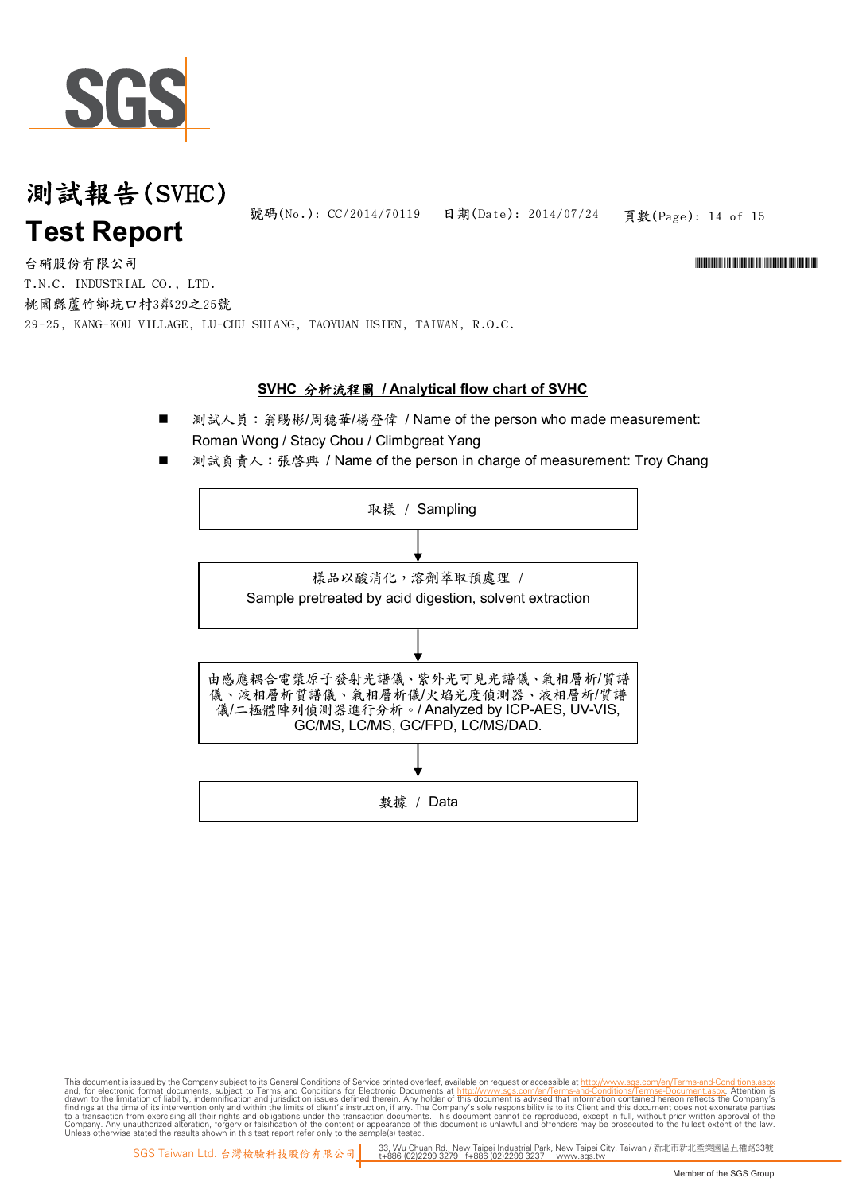

頁數(Page): 14 of 15 號碼(No.): CC/2014/70119 日期(Date): 2014/07/24

\*CONFIDENTIAL AND THE CONFIDENTIAL ACCOUNT OF THE CONFIDENTIAL ACCOUNT AND THE CONFIDENTIAL ACCOUNT AND THE CO

台硝股份有限公司 29-25, KANG-KOU VILLAGE, LU-CHU SHIANG, TAOYUAN HSIEN, TAIWAN, R.O.C. T.N.C. INDUSTRIAL CO., LTD. 桃園縣蘆竹鄉坑口村3鄰29之25號

#### **SVHC** 分析流程圖 **/ Analytical flow chart of SVHC**

- 測試人員: 翁賜彬/周穗華/楊登偉 / Name of the person who made measurement: Roman Wong / Stacy Chou / Climbgreat Yang
- 測試負責人: 張啓興 / Name of the person in charge of measurement: Troy Chang